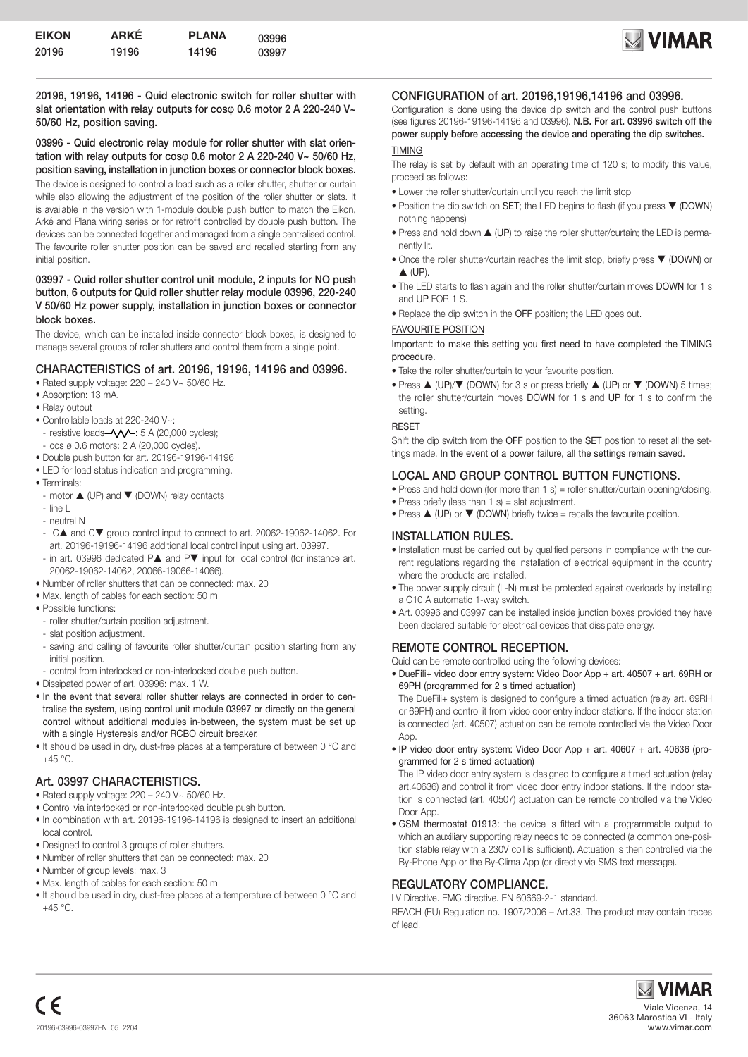

20196, 19196, 14196 - Quid electronic switch for roller shutter with slat orientation with relay outputs for coso 0.6 motor 2 A 220-240 V~ 50/60 Hz, position saving.

03996 - Quid electronic relay module for roller shutter with slat orientation with relay outputs for cosφ 0.6 motor 2 A 220-240 V~ 50/60 Hz, position saving, installation in junction boxes or connector block boxes.

The device is designed to control a load such as a roller shutter, shutter or curtain while also allowing the adjustment of the position of the roller shutter or slats. It is available in the version with 1-module double push button to match the Eikon, Arké and Plana wiring series or for retrofit controlled by double push button. The devices can be connected together and managed from a single centralised control. The favourite roller shutter position can be saved and recalled starting from any initial position.

#### 03997 - Quid roller shutter control unit module, 2 inputs for NO push button, 6 outputs for Quid roller shutter relay module 03996, 220-240 V 50/60 Hz power supply, installation in junction boxes or connector block boxes.

The device, which can be installed inside connector block boxes, is designed to manage several groups of roller shutters and control them from a single point.

### CHARACTERISTICS of art. 20196, 19196, 14196 and 03996.

- Rated supply voltage: 220 240 V~ 50/60 Hz.
- Absorption: 13 mA.
- Relay output
- Controllable loads at 220-240 V~:
- resistive loads- $\sim$   $\sim$  : 5 A (20,000 cycles);
- cos ø 0.6 motors: 2 A (20,000 cycles).
- Double push button for art. 20196-19196-14196
- LED for load status indication and programming.
- Terminals:
- motor  $\triangle$  (UP) and  $\nabla$  (DOWN) relay contacts
- line L
- neutral N
- CA and CV group control input to connect to art. 20062-19062-14062. For art. 20196-19196-14196 additional local control input using art. 03997.
- in art. 03996 dedicated  $P\blacktriangle$  and  $P\blacktriangledown$  input for local control (for instance art. 20062-19062-14062, 20066-19066-14066).
- Number of roller shutters that can be connected: max. 20
- Max. length of cables for each section: 50 m
- Possible functions:
- roller shutter/curtain position adjustment.
- slat position adjustment.
- saving and calling of favourite roller shutter/curtain position starting from any initial position.
- control from interlocked or non-interlocked double push button.
- Dissipated power of art. 03996: max. 1 W.
- In the event that several roller shutter relays are connected in order to centralise the system, using control unit module 03997 or directly on the general control without additional modules in-between, the system must be set up with a single Hysteresis and/or RCBO circuit breaker.
- It should be used in dry, dust-free places at a temperature of between 0 °C and  $+45$  °C.

# Art. 03997 CHARACTERISTICS.

- Rated supply voltage:  $220 240$  V $\sim$  50/60 Hz.
- Control via interlocked or non-interlocked double push button.
- In combination with art. 20196-19196-14196 is designed to insert an additional local control.
- Designed to control 3 groups of roller shutters.
- Number of roller shutters that can be connected: max. 20
- Number of group levels: max. 3
- Max. length of cables for each section: 50 m
- It should be used in dry, dust-free places at a temperature of between 0 °C and  $+45$  °C.

### CONFIGURATION of art. 20196,19196,14196 and 03996.

Configuration is done using the device dip switch and the control push buttons (see figures 20196-19196-14196 and 03996). N.B. For art. 03996 switch off the power supply before accessing the device and operating the dip switches.

#### TIMING

The relay is set by default with an operating time of 120 s; to modify this value, proceed as follows:

- Lower the roller shutter/curtain until you reach the limit stop
- $\bullet$  Position the dip switch on SET; the LED begins to flash (if you press  $\nabla$  (DOWN) nothing happens)
- Press and hold down  $\triangle$  (UP) to raise the roller shutter/curtain; the LED is permanently lit.
- Once the roller shutter/curtain reaches the limit stop, briefly press  $\blacktriangledown$  (DOWN) or  $\triangle$  (UP)
- The LED starts to flash again and the roller shutter/curtain moves DOWN for 1 s and UP FOR 1 S.
- Replace the dip switch in the OFF position; the LED goes out.

#### FAVOURITE POSITION

Important: to make this setting you first need to have completed the TIMING procedure.

- Take the roller shutter/curtain to your favourite position.
- Press  $\triangle$  (UP)/ $\nabla$  (DOWN) for 3 s or press briefly  $\triangle$  (UP) or  $\nabla$  (DOWN) 5 times; the roller shutter/curtain moves DOWN for 1 s and UP for 1 s to confirm the setting.

#### RESET

Shift the dip switch from the OFF position to the SET position to reset all the settings made. In the event of a power failure, all the settings remain saved.

# LOCAL AND GROUP CONTROL BUTTON FUNCTIONS.

- Press and hold down (for more than 1 s) = roller shutter/curtain opening/closing.
- Press briefly (less than  $1 \text{ s}$ ) = slat adjustment.
- Press  $\triangle$  (UP) or  $\nabla$  (DOWN) briefly twice = recalls the favourite position.

### INSTALLATION RULES.

- Installation must be carried out by qualified persons in compliance with the current regulations regarding the installation of electrical equipment in the country where the products are installed.
- The power supply circuit (L-N) must be protected against overloads by installing a C10 A automatic 1-way switch.
- Art. 03996 and 03997 can be installed inside junction boxes provided they have been declared suitable for electrical devices that dissipate energy.

# REMOTE CONTROL RECEPTION.

Quid can be remote controlled using the following devices:

• DueFili+ video door entry system: Video Door App + art. 40507 + art. 69RH or 69PH (programmed for 2 s timed actuation)

The DueFili+ system is designed to configure a timed actuation (relay art. 69RH or 69PH) and control it from video door entry indoor stations. If the indoor station is connected (art. 40507) actuation can be remote controlled via the Video Door App.

• IP video door entry system: Video Door App + art. 40607 + art. 40636 (programmed for 2 s timed actuation)

The IP video door entry system is designed to configure a timed actuation (relay art.40636) and control it from video door entry indoor stations. If the indoor station is connected (art. 40507) actuation can be remote controlled via the Video Door App.

• GSM thermostat 01913: the device is fitted with a programmable output to which an auxiliary supporting relay needs to be connected (a common one-position stable relay with a 230V coil is sufficient). Actuation is then controlled via the By-Phone App or the By-Clima App (or directly via SMS text message).

### REGULATORY COMPLIANCE.

LV Directive. EMC directive. EN 60669-2-1 standard.

REACH (EU) Regulation no. 1907/2006 – Art.33. The product may contain traces of lead.

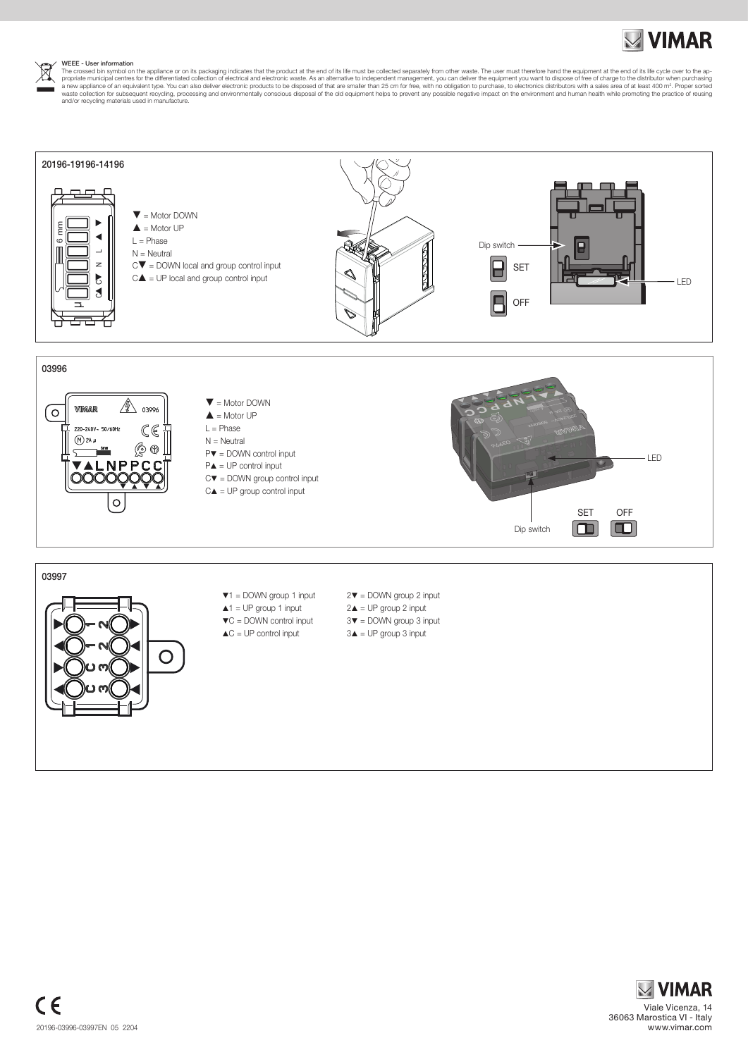WEEE - User information<br>The crossed bin symbol on the appliance or on its packaging indicates that the product at the end of its life must be collected separately from other waste. The user must therefore hand the equipmen





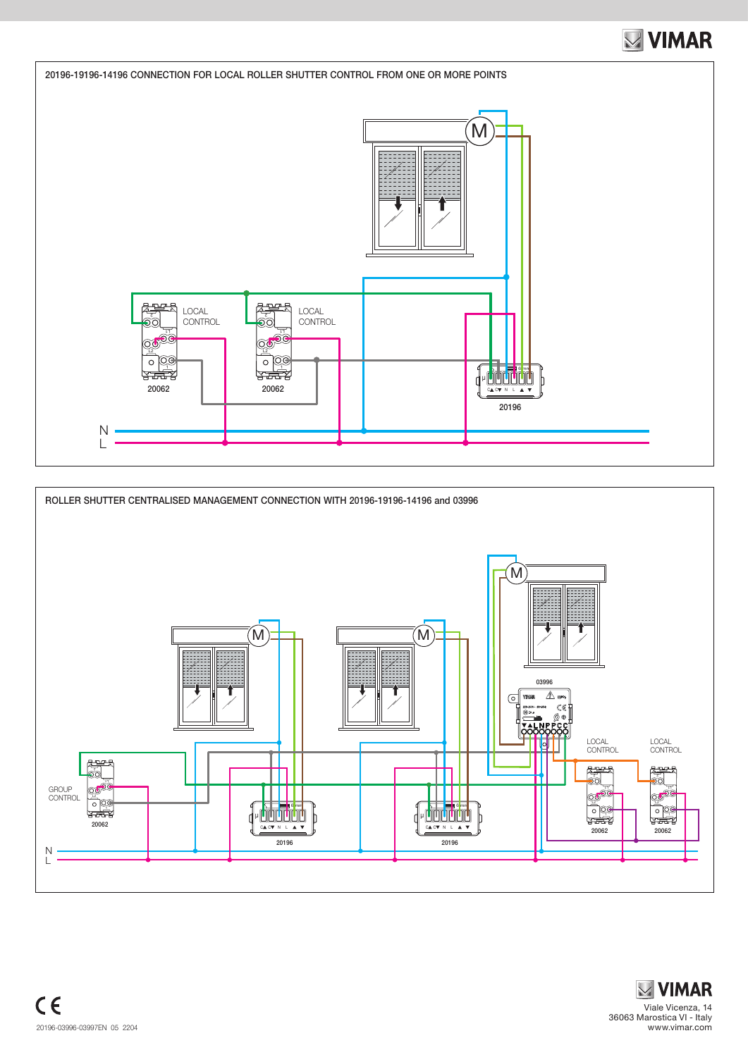



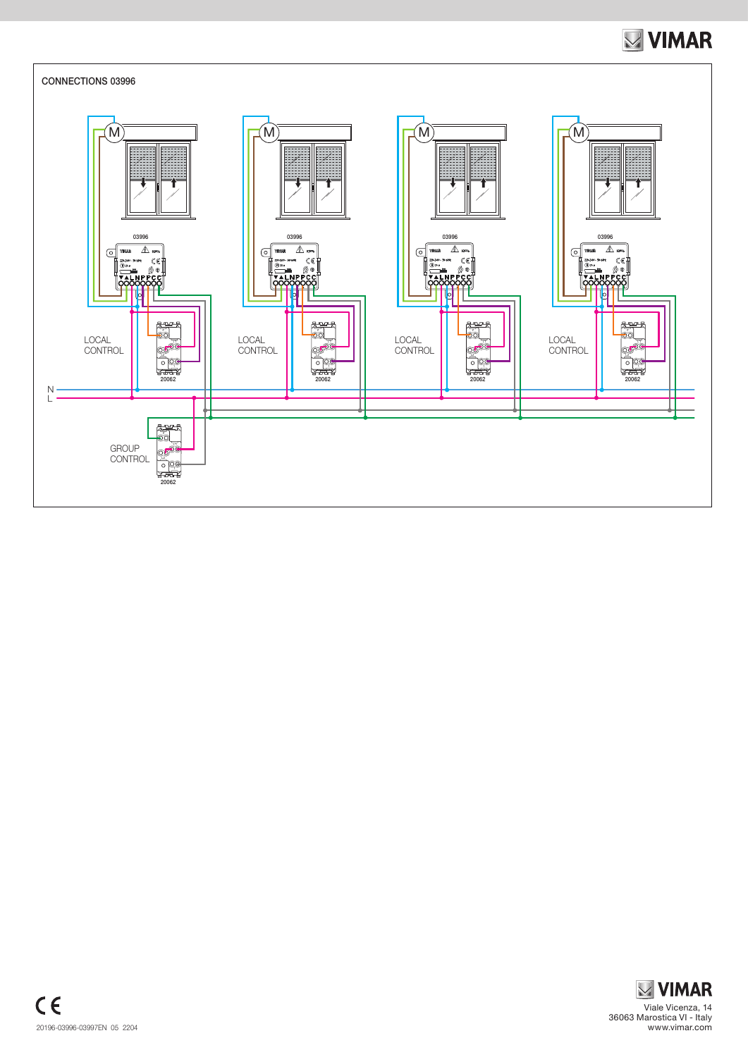

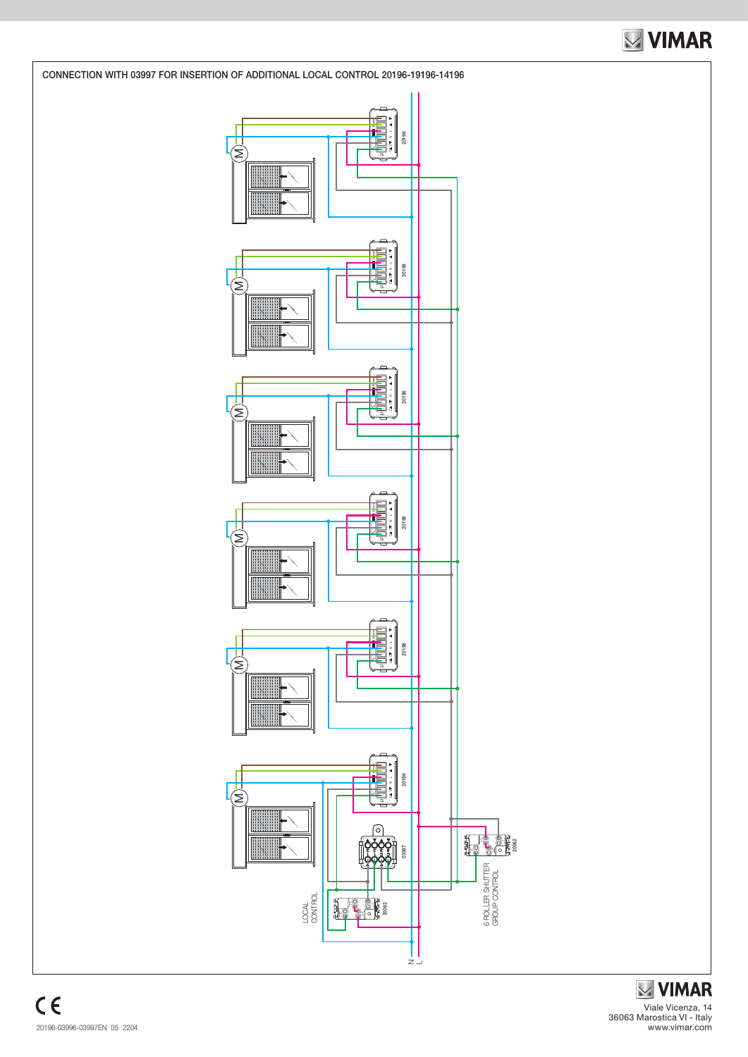

**MIMAR** Viale Vicenza, 14 36063 Marostica VI - Italy